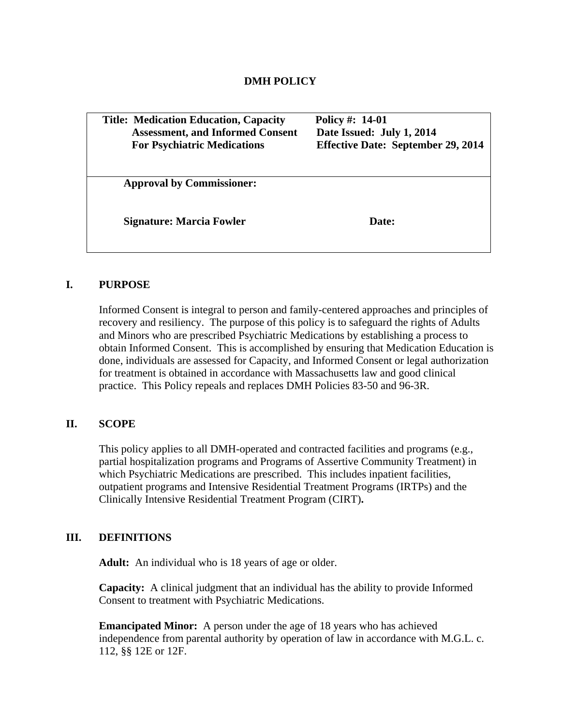| <b>Title: Medication Education, Capacity</b><br><b>Assessment, and Informed Consent</b><br><b>For Psychiatric Medications</b> | Policy #: 14-01<br>Date Issued: July 1, 2014<br><b>Effective Date: September 29, 2014</b> |
|-------------------------------------------------------------------------------------------------------------------------------|-------------------------------------------------------------------------------------------|
| <b>Approval by Commissioner:</b>                                                                                              | Date:                                                                                     |
| <b>Signature: Marcia Fowler</b>                                                                                               |                                                                                           |

# **I. PURPOSE**

Informed Consent is integral to person and family-centered approaches and principles of recovery and resiliency. The purpose of this policy is to safeguard the rights of Adults and Minors who are prescribed Psychiatric Medications by establishing a process to obtain Informed Consent. This is accomplished by ensuring that Medication Education is done, individuals are assessed for Capacity, and Informed Consent or legal authorization for treatment is obtained in accordance with Massachusetts law and good clinical practice. This Policy repeals and replaces DMH Policies 83-50 and 96-3R.

# **II. SCOPE**

This policy applies to all DMH-operated and contracted facilities and programs (e.g., partial hospitalization programs and Programs of Assertive Community Treatment) in which Psychiatric Medications are prescribed. This includes inpatient facilities, outpatient programs and Intensive Residential Treatment Programs (IRTPs) and the Clinically Intensive Residential Treatment Program (CIRT)**.** 

# **III. DEFINITIONS**

**Adult:** An individual who is 18 years of age or older.

**Capacity:** A clinical judgment that an individual has the ability to provide Informed Consent to treatment with Psychiatric Medications.

**Emancipated Minor:** A person under the age of 18 years who has achieved independence from parental authority by operation of law in accordance with M.G.L. c. 112, §§ 12E or 12F.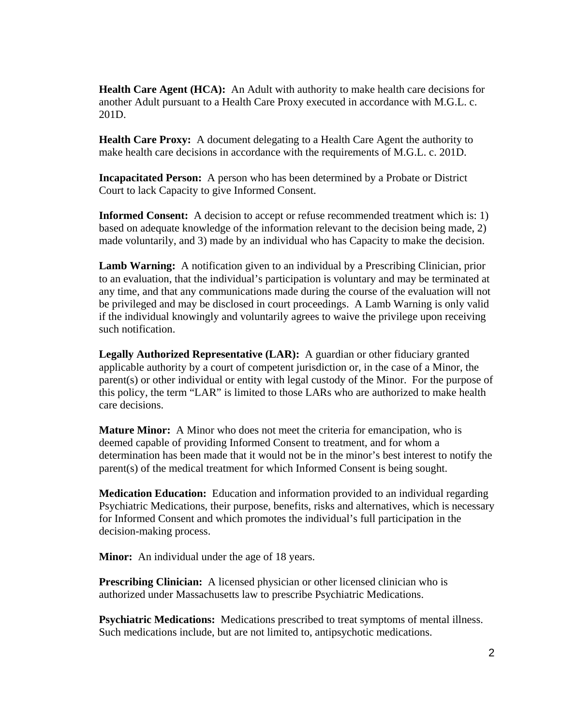**Health Care Agent (HCA):** An Adult with authority to make health care decisions for another Adult pursuant to a Health Care Proxy executed in accordance with M.G.L. c. 201D.

**Health Care Proxy:** A document delegating to a Health Care Agent the authority to make health care decisions in accordance with the requirements of M.G.L. c. 201D.

**Incapacitated Person:** A person who has been determined by a Probate or District Court to lack Capacity to give Informed Consent.

**Informed Consent:** A decision to accept or refuse recommended treatment which is: 1) based on adequate knowledge of the information relevant to the decision being made, 2) made voluntarily, and 3) made by an individual who has Capacity to make the decision.

**Lamb Warning:** A notification given to an individual by a Prescribing Clinician, prior to an evaluation, that the individual's participation is voluntary and may be terminated at any time, and that any communications made during the course of the evaluation will not be privileged and may be disclosed in court proceedings. A Lamb Warning is only valid if the individual knowingly and voluntarily agrees to waive the privilege upon receiving such notification.

**Legally Authorized Representative (LAR):** A guardian or other fiduciary granted applicable authority by a court of competent jurisdiction or, in the case of a Minor, the parent(s) or other individual or entity with legal custody of the Minor. For the purpose of this policy, the term "LAR" is limited to those LARs who are authorized to make health care decisions.

**Mature Minor:** A Minor who does not meet the criteria for emancipation, who is deemed capable of providing Informed Consent to treatment, and for whom a determination has been made that it would not be in the minor's best interest to notify the parent(s) of the medical treatment for which Informed Consent is being sought.

**Medication Education:** Education and information provided to an individual regarding Psychiatric Medications, their purpose, benefits, risks and alternatives, which is necessary for Informed Consent and which promotes the individual's full participation in the decision-making process.

**Minor:** An individual under the age of 18 years.

**Prescribing Clinician:** A licensed physician or other licensed clinician who is authorized under Massachusetts law to prescribe Psychiatric Medications.

**Psychiatric Medications:** Medications prescribed to treat symptoms of mental illness. Such medications include, but are not limited to, antipsychotic medications.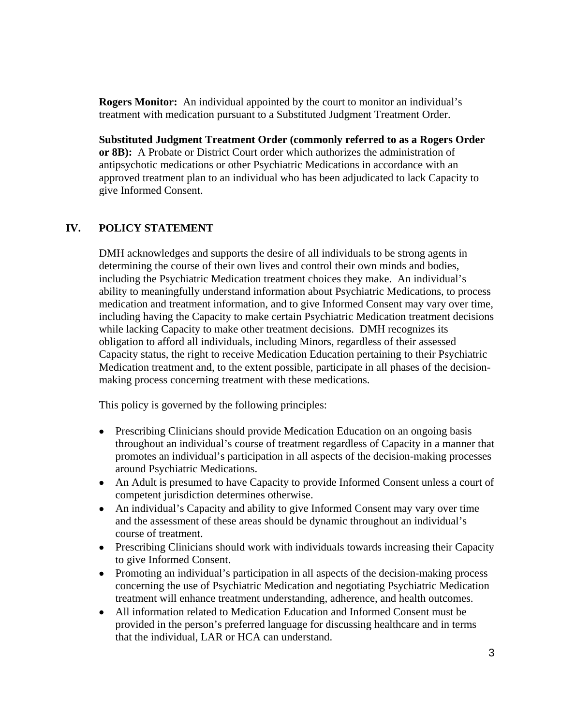**Rogers Monitor:** An individual appointed by the court to monitor an individual's treatment with medication pursuant to a Substituted Judgment Treatment Order.

**Substituted Judgment Treatment Order (commonly referred to as a Rogers Order or 8B):** A Probate or District Court order which authorizes the administration of antipsychotic medications or other Psychiatric Medications in accordance with an approved treatment plan to an individual who has been adjudicated to lack Capacity to give Informed Consent.

# **IV. POLICY STATEMENT**

DMH acknowledges and supports the desire of all individuals to be strong agents in determining the course of their own lives and control their own minds and bodies, including the Psychiatric Medication treatment choices they make. An individual's ability to meaningfully understand information about Psychiatric Medications, to process medication and treatment information, and to give Informed Consent may vary over time, including having the Capacity to make certain Psychiatric Medication treatment decisions while lacking Capacity to make other treatment decisions. DMH recognizes its obligation to afford all individuals, including Minors, regardless of their assessed Capacity status, the right to receive Medication Education pertaining to their Psychiatric Medication treatment and, to the extent possible, participate in all phases of the decisionmaking process concerning treatment with these medications.

This policy is governed by the following principles:

- Prescribing Clinicians should provide Medication Education on an ongoing basis throughout an individual's course of treatment regardless of Capacity in a manner that promotes an individual's participation in all aspects of the decision-making processes around Psychiatric Medications.
- An Adult is presumed to have Capacity to provide Informed Consent unless a court of competent jurisdiction determines otherwise.
- An individual's Capacity and ability to give Informed Consent may vary over time and the assessment of these areas should be dynamic throughout an individual's course of treatment.
- Prescribing Clinicians should work with individuals towards increasing their Capacity to give Informed Consent.
- Promoting an individual's participation in all aspects of the decision-making process concerning the use of Psychiatric Medication and negotiating Psychiatric Medication treatment will enhance treatment understanding, adherence, and health outcomes.
- All information related to Medication Education and Informed Consent must be provided in the person's preferred language for discussing healthcare and in terms that the individual, LAR or HCA can understand.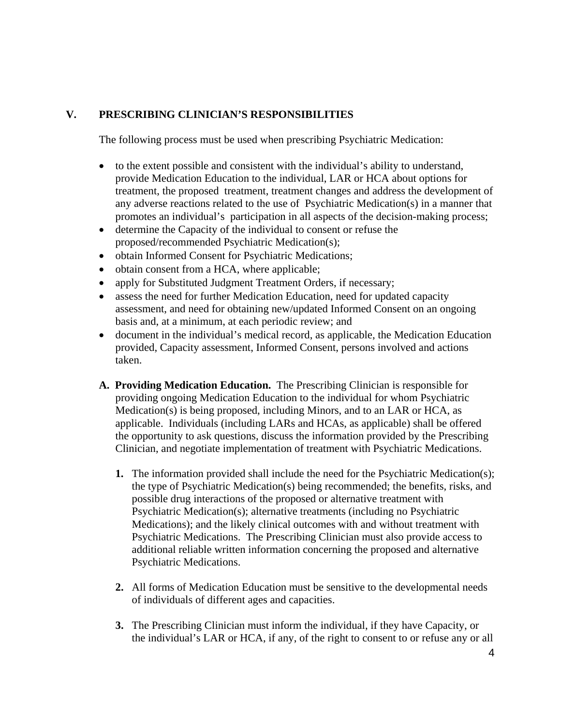# **V. PRESCRIBING CLINICIAN'S RESPONSIBILITIES**

The following process must be used when prescribing Psychiatric Medication:

- to the extent possible and consistent with the individual's ability to understand, provide Medication Education to the individual, LAR or HCA about options for treatment, the proposed treatment, treatment changes and address the development of any adverse reactions related to the use of Psychiatric Medication(s) in a manner that promotes an individual's participation in all aspects of the decision-making process;
- determine the Capacity of the individual to consent or refuse the proposed/recommended Psychiatric Medication(s);
- obtain Informed Consent for Psychiatric Medications;
- obtain consent from a HCA, where applicable;
- apply for Substituted Judgment Treatment Orders, if necessary;
- assess the need for further Medication Education, need for updated capacity assessment, and need for obtaining new/updated Informed Consent on an ongoing basis and, at a minimum, at each periodic review; and
- document in the individual's medical record, as applicable, the Medication Education provided, Capacity assessment, Informed Consent, persons involved and actions taken.
- **A. Providing Medication Education.** The Prescribing Clinician is responsible for providing ongoing Medication Education to the individual for whom Psychiatric Medication(s) is being proposed, including Minors, and to an LAR or HCA, as applicable. Individuals (including LARs and HCAs, as applicable) shall be offered the opportunity to ask questions, discuss the information provided by the Prescribing Clinician, and negotiate implementation of treatment with Psychiatric Medications.
	- **1.** The information provided shall include the need for the Psychiatric Medication(s); the type of Psychiatric Medication(s) being recommended; the benefits, risks, and possible drug interactions of the proposed or alternative treatment with Psychiatric Medication(s); alternative treatments (including no Psychiatric Medications); and the likely clinical outcomes with and without treatment with Psychiatric Medications. The Prescribing Clinician must also provide access to additional reliable written information concerning the proposed and alternative Psychiatric Medications.
	- **2.** All forms of Medication Education must be sensitive to the developmental needs of individuals of different ages and capacities.
	- **3.** The Prescribing Clinician must inform the individual, if they have Capacity, or the individual's LAR or HCA, if any, of the right to consent to or refuse any or all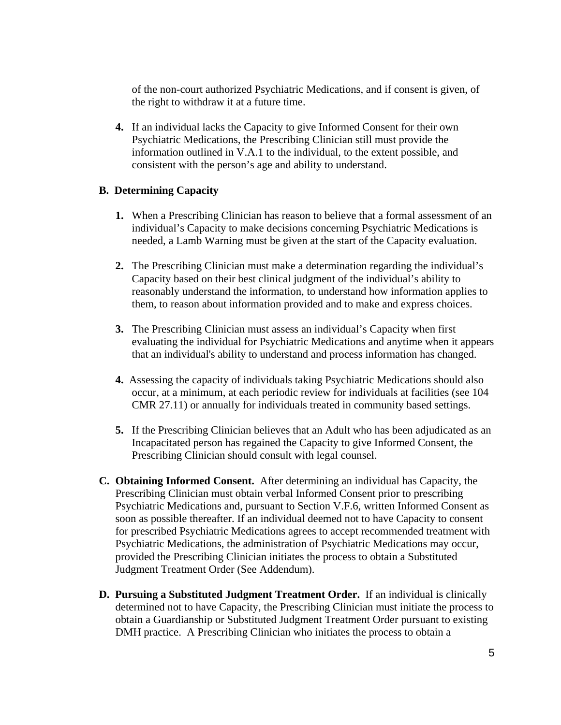of the non-court authorized Psychiatric Medications, and if consent is given, of the right to withdraw it at a future time.

**4.** If an individual lacks the Capacity to give Informed Consent for their own Psychiatric Medications, the Prescribing Clinician still must provide the information outlined in V.A.1 to the individual, to the extent possible, and consistent with the person's age and ability to understand.

### **B. Determining Capacity**

- **1.** When a Prescribing Clinician has reason to believe that a formal assessment of an individual's Capacity to make decisions concerning Psychiatric Medications is needed, a Lamb Warning must be given at the start of the Capacity evaluation.
- **2.** The Prescribing Clinician must make a determination regarding the individual's Capacity based on their best clinical judgment of the individual's ability to reasonably understand the information, to understand how information applies to them, to reason about information provided and to make and express choices.
- **3.** The Prescribing Clinician must assess an individual's Capacity when first evaluating the individual for Psychiatric Medications and anytime when it appears that an individual's ability to understand and process information has changed.
- **4.** Assessing the capacity of individuals taking Psychiatric Medications should also occur, at a minimum, at each periodic review for individuals at facilities (see 104 CMR 27.11) or annually for individuals treated in community based settings.
- **5.** If the Prescribing Clinician believes that an Adult who has been adjudicated as an Incapacitated person has regained the Capacity to give Informed Consent, the Prescribing Clinician should consult with legal counsel.
- **C. Obtaining Informed Consent.** After determining an individual has Capacity, the Prescribing Clinician must obtain verbal Informed Consent prior to prescribing Psychiatric Medications and, pursuant to Section V.F.6, written Informed Consent as soon as possible thereafter. If an individual deemed not to have Capacity to consent for prescribed Psychiatric Medications agrees to accept recommended treatment with Psychiatric Medications, the administration of Psychiatric Medications may occur, provided the Prescribing Clinician initiates the process to obtain a Substituted Judgment Treatment Order (See Addendum).
- **D. Pursuing a Substituted Judgment Treatment Order.** If an individual is clinically determined not to have Capacity, the Prescribing Clinician must initiate the process to obtain a Guardianship or Substituted Judgment Treatment Order pursuant to existing DMH practice. A Prescribing Clinician who initiates the process to obtain a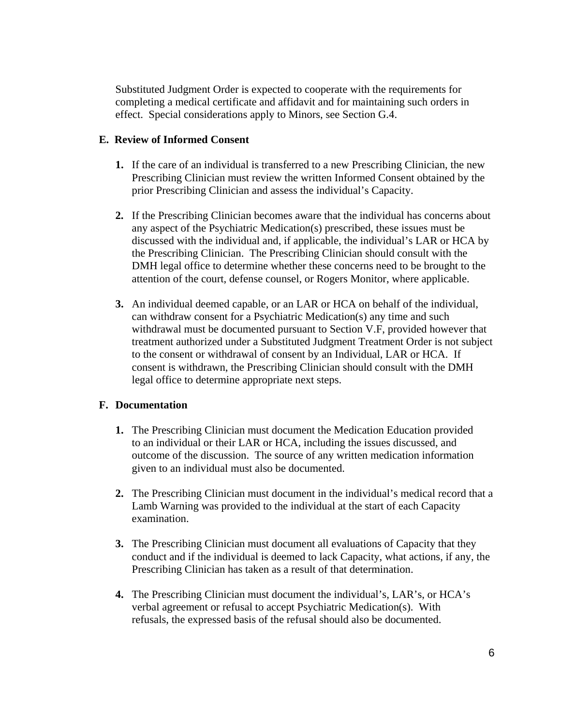Substituted Judgment Order is expected to cooperate with the requirements for completing a medical certificate and affidavit and for maintaining such orders in effect. Special considerations apply to Minors, see Section G.4.

### **E. Review of Informed Consent**

- **1.** If the care of an individual is transferred to a new Prescribing Clinician, the new Prescribing Clinician must review the written Informed Consent obtained by the prior Prescribing Clinician and assess the individual's Capacity.
- **2.** If the Prescribing Clinician becomes aware that the individual has concerns about any aspect of the Psychiatric Medication(s) prescribed, these issues must be discussed with the individual and, if applicable, the individual's LAR or HCA by the Prescribing Clinician. The Prescribing Clinician should consult with the DMH legal office to determine whether these concerns need to be brought to the attention of the court, defense counsel, or Rogers Monitor, where applicable.
- **3.** An individual deemed capable, or an LAR or HCA on behalf of the individual, can withdraw consent for a Psychiatric Medication(s) any time and such withdrawal must be documented pursuant to Section V.F, provided however that treatment authorized under a Substituted Judgment Treatment Order is not subject to the consent or withdrawal of consent by an Individual, LAR or HCA. If consent is withdrawn, the Prescribing Clinician should consult with the DMH legal office to determine appropriate next steps.

# **F. Documentation**

- **1.** The Prescribing Clinician must document the Medication Education provided to an individual or their LAR or HCA, including the issues discussed, and outcome of the discussion. The source of any written medication information given to an individual must also be documented.
- **2.** The Prescribing Clinician must document in the individual's medical record that a Lamb Warning was provided to the individual at the start of each Capacity examination.
- **3.** The Prescribing Clinician must document all evaluations of Capacity that they conduct and if the individual is deemed to lack Capacity, what actions, if any, the Prescribing Clinician has taken as a result of that determination.
- **4.** The Prescribing Clinician must document the individual's, LAR's, or HCA's verbal agreement or refusal to accept Psychiatric Medication(s). With refusals, the expressed basis of the refusal should also be documented.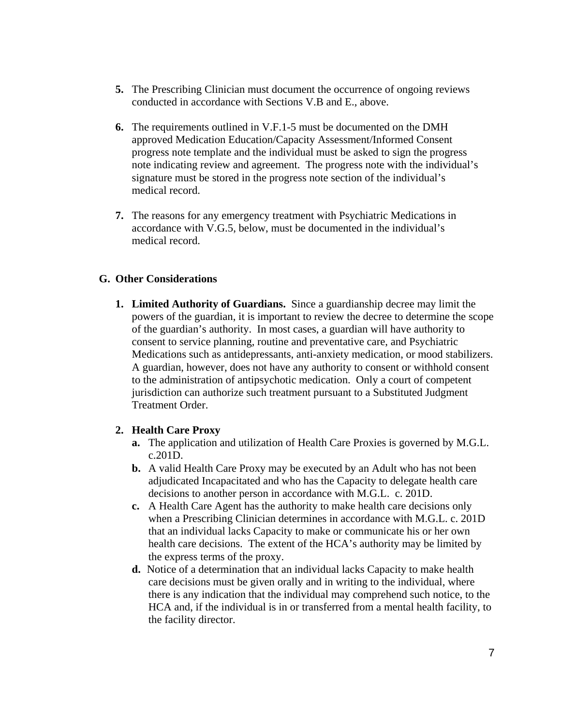- **5.** The Prescribing Clinician must document the occurrence of ongoing reviews conducted in accordance with Sections V.B and E., above.
- **6.** The requirements outlined in V.F.1-5 must be documented on the DMH approved Medication Education/Capacity Assessment/Informed Consent progress note template and the individual must be asked to sign the progress note indicating review and agreement. The progress note with the individual's signature must be stored in the progress note section of the individual's medical record.
- **7.** The reasons for any emergency treatment with Psychiatric Medications in accordance with V.G.5, below, must be documented in the individual's medical record.

#### **G. Other Considerations**

**1. Limited Authority of Guardians.** Since a guardianship decree may limit the powers of the guardian, it is important to review the decree to determine the scope of the guardian's authority. In most cases, a guardian will have authority to consent to service planning, routine and preventative care, and Psychiatric Medications such as antidepressants, anti-anxiety medication, or mood stabilizers. A guardian, however, does not have any authority to consent or withhold consent to the administration of antipsychotic medication. Only a court of competent jurisdiction can authorize such treatment pursuant to a Substituted Judgment Treatment Order.

### **2. Health Care Proxy**

- **a.** The application and utilization of Health Care Proxies is governed by M.G.L. c.201D.
- **b.** A valid Health Care Proxy may be executed by an Adult who has not been adjudicated Incapacitated and who has the Capacity to delegate health care decisions to another person in accordance with M.G.L. c. 201D.
- **c.** A Health Care Agent has the authority to make health care decisions only when a Prescribing Clinician determines in accordance with M.G.L. c. 201D that an individual lacks Capacity to make or communicate his or her own health care decisions. The extent of the HCA's authority may be limited by the express terms of the proxy.
- **d.** Notice of a determination that an individual lacks Capacity to make health care decisions must be given orally and in writing to the individual, where there is any indication that the individual may comprehend such notice, to the HCA and, if the individual is in or transferred from a mental health facility, to the facility director.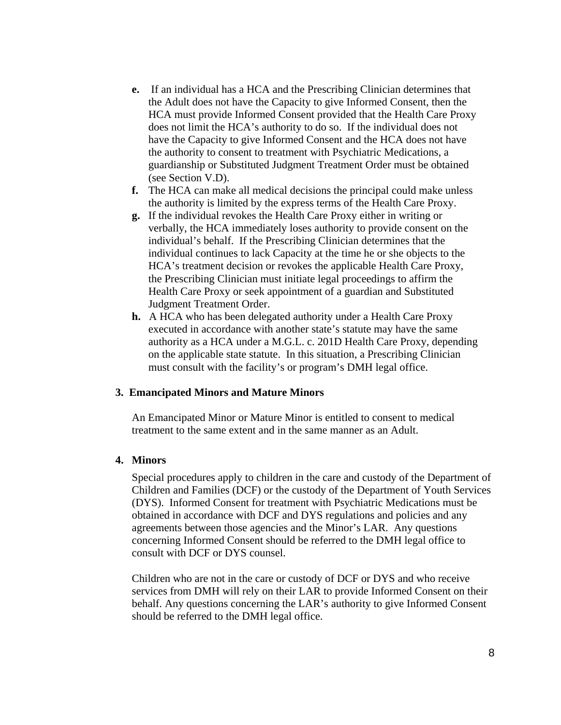- **e.** If an individual has a HCA and the Prescribing Clinician determines that the Adult does not have the Capacity to give Informed Consent, then the HCA must provide Informed Consent provided that the Health Care Proxy does not limit the HCA's authority to do so. If the individual does not have the Capacity to give Informed Consent and the HCA does not have the authority to consent to treatment with Psychiatric Medications, a guardianship or Substituted Judgment Treatment Order must be obtained (see Section V.D).
- **f.** The HCA can make all medical decisions the principal could make unless the authority is limited by the express terms of the Health Care Proxy.
- **g.** If the individual revokes the Health Care Proxy either in writing or verbally, the HCA immediately loses authority to provide consent on the individual's behalf. If the Prescribing Clinician determines that the individual continues to lack Capacity at the time he or she objects to the HCA's treatment decision or revokes the applicable Health Care Proxy, the Prescribing Clinician must initiate legal proceedings to affirm the Health Care Proxy or seek appointment of a guardian and Substituted Judgment Treatment Order.
- **h.** A HCA who has been delegated authority under a Health Care Proxy executed in accordance with another state's statute may have the same authority as a HCA under a M.G.L. c. 201D Health Care Proxy, depending on the applicable state statute. In this situation, a Prescribing Clinician must consult with the facility's or program's DMH legal office.

### **3. Emancipated Minors and Mature Minors**

An Emancipated Minor or Mature Minor is entitled to consent to medical treatment to the same extent and in the same manner as an Adult.

#### **4. Minors**

Special procedures apply to children in the care and custody of the Department of Children and Families (DCF) or the custody of the Department of Youth Services (DYS). Informed Consent for treatment with Psychiatric Medications must be obtained in accordance with DCF and DYS regulations and policies and any agreements between those agencies and the Minor's LAR. Any questions concerning Informed Consent should be referred to the DMH legal office to consult with DCF or DYS counsel.

Children who are not in the care or custody of DCF or DYS and who receive services from DMH will rely on their LAR to provide Informed Consent on their behalf. Any questions concerning the LAR's authority to give Informed Consent should be referred to the DMH legal office.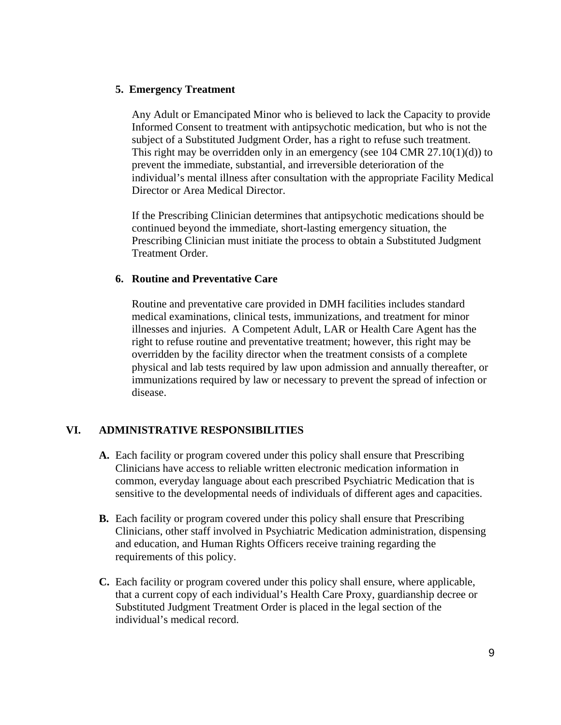### **5. Emergency Treatment**

Any Adult or Emancipated Minor who is believed to lack the Capacity to provide Informed Consent to treatment with antipsychotic medication, but who is not the subject of a Substituted Judgment Order, has a right to refuse such treatment. This right may be overridden only in an emergency (see  $104 \text{ CMR } 27.10(1)(d)$ ) to prevent the immediate, substantial, and irreversible deterioration of the individual's mental illness after consultation with the appropriate Facility Medical Director or Area Medical Director.

If the Prescribing Clinician determines that antipsychotic medications should be continued beyond the immediate, short-lasting emergency situation, the Prescribing Clinician must initiate the process to obtain a Substituted Judgment Treatment Order.

### **6. Routine and Preventative Care**

Routine and preventative care provided in DMH facilities includes standard medical examinations, clinical tests, immunizations, and treatment for minor illnesses and injuries. A Competent Adult, LAR or Health Care Agent has the right to refuse routine and preventative treatment; however, this right may be overridden by the facility director when the treatment consists of a complete physical and lab tests required by law upon admission and annually thereafter, or immunizations required by law or necessary to prevent the spread of infection or disease.

# **VI. ADMINISTRATIVE RESPONSIBILITIES**

- **A.** Each facility or program covered under this policy shall ensure that Prescribing Clinicians have access to reliable written electronic medication information in common, everyday language about each prescribed Psychiatric Medication that is sensitive to the developmental needs of individuals of different ages and capacities.
- **B.** Each facility or program covered under this policy shall ensure that Prescribing Clinicians, other staff involved in Psychiatric Medication administration, dispensing and education, and Human Rights Officers receive training regarding the requirements of this policy.
- **C.** Each facility or program covered under this policy shall ensure, where applicable, that a current copy of each individual's Health Care Proxy, guardianship decree or Substituted Judgment Treatment Order is placed in the legal section of the individual's medical record.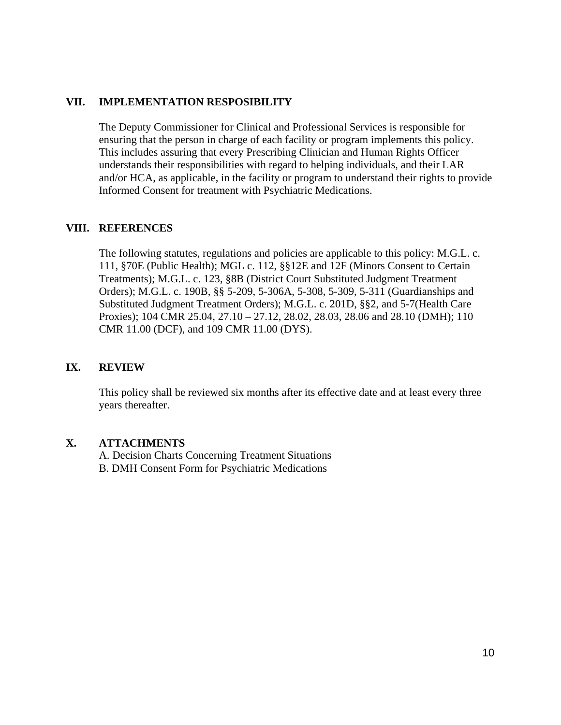#### **VII. IMPLEMENTATION RESPOSIBILITY**

The Deputy Commissioner for Clinical and Professional Services is responsible for ensuring that the person in charge of each facility or program implements this policy. This includes assuring that every Prescribing Clinician and Human Rights Officer understands their responsibilities with regard to helping individuals, and their LAR and/or HCA, as applicable, in the facility or program to understand their rights to provide Informed Consent for treatment with Psychiatric Medications.

#### **VIII. REFERENCES**

The following statutes, regulations and policies are applicable to this policy: M.G.L. c. 111, §70E (Public Health); MGL c. 112, §§12E and 12F (Minors Consent to Certain Treatments); M.G.L. c. 123, §8B (District Court Substituted Judgment Treatment Orders); M.G.L. c. 190B, §§ 5-209, 5-306A, 5-308, 5-309, 5-311 (Guardianships and Substituted Judgment Treatment Orders); M.G.L. c. 201D, §§2, and 5-7(Health Care Proxies); 104 CMR 25.04, 27.10 – 27.12, 28.02, 28.03, 28.06 and 28.10 (DMH); 110 CMR 11.00 (DCF), and 109 CMR 11.00 (DYS).

### **IX. REVIEW**

This policy shall be reviewed six months after its effective date and at least every three years thereafter.

#### **X. ATTACHMENTS**

A. Decision Charts Concerning Treatment Situations B. DMH Consent Form for Psychiatric Medications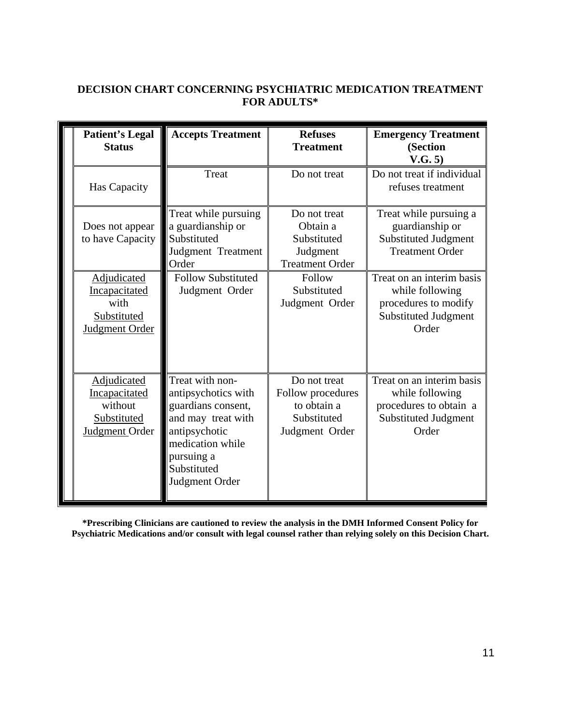# **DECISION CHART CONCERNING PSYCHIATRIC MEDICATION TREATMENT FOR ADULTS\***

|  | <b>Patient's Legal</b><br><b>Status</b>                                  | <b>Accepts Treatment</b>                                                                                                                                               | <b>Refuses</b><br><b>Treatment</b>                                                | <b>Emergency Treatment</b><br>(Section<br>V.G. 5)                                                              |
|--|--------------------------------------------------------------------------|------------------------------------------------------------------------------------------------------------------------------------------------------------------------|-----------------------------------------------------------------------------------|----------------------------------------------------------------------------------------------------------------|
|  | Has Capacity                                                             | Treat                                                                                                                                                                  | Do not treat                                                                      | Do not treat if individual<br>refuses treatment                                                                |
|  | Does not appear<br>to have Capacity                                      | Treat while pursuing<br>a guardianship or<br>Substituted<br>Judgment Treatment<br>Order                                                                                | Do not treat<br>Obtain a<br>Substituted<br>Judgment<br><b>Treatment Order</b>     | Treat while pursuing a<br>guardianship or<br><b>Substituted Judgment</b><br><b>Treatment Order</b>             |
|  | Adjudicated<br>Incapacitated<br>with<br>Substituted<br>Judgment Order    | <b>Follow Substituted</b><br>Judgment Order                                                                                                                            | Follow<br>Substituted<br>Judgment Order                                           | Treat on an interim basis<br>while following<br>procedures to modify<br>Substituted Judgment<br>Order          |
|  | Adjudicated<br>Incapacitated<br>without<br>Substituted<br>Judgment Order | Treat with non-<br>antipsychotics with<br>guardians consent,<br>and may treat with<br>antipsychotic<br>medication while<br>pursuing a<br>Substituted<br>Judgment Order | Do not treat<br>Follow procedures<br>to obtain a<br>Substituted<br>Judgment Order | Treat on an interim basis<br>while following<br>procedures to obtain a<br><b>Substituted Judgment</b><br>Order |

**\*Prescribing Clinicians are cautioned to review the analysis in the DMH Informed Consent Policy for Psychiatric Medications and/or consult with legal counsel rather than relying solely on this Decision Chart.**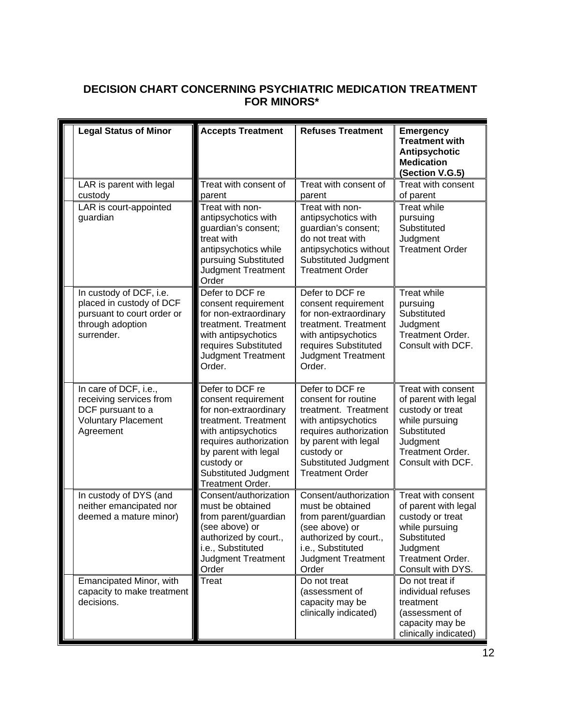# **DECISION CHART CONCERNING PSYCHIATRIC MEDICATION TREATMENT FOR MINORS\***

| <b>Legal Status of Minor</b>                                                                                        | <b>Accepts Treatment</b>                                                                                                                                                                                                          | <b>Refuses Treatment</b>                                                                                                                                                                                | <b>Emergency</b><br><b>Treatment with</b><br>Antipsychotic<br><b>Medication</b><br>(Section V.G.5)                                                          |
|---------------------------------------------------------------------------------------------------------------------|-----------------------------------------------------------------------------------------------------------------------------------------------------------------------------------------------------------------------------------|---------------------------------------------------------------------------------------------------------------------------------------------------------------------------------------------------------|-------------------------------------------------------------------------------------------------------------------------------------------------------------|
| LAR is parent with legal<br>custody                                                                                 | Treat with consent of<br>parent                                                                                                                                                                                                   | Treat with consent of<br>parent                                                                                                                                                                         | Treat with consent<br>of parent                                                                                                                             |
| LAR is court-appointed<br>guardian                                                                                  | Treat with non-<br>antipsychotics with<br>guardian's consent;<br>treat with<br>antipsychotics while<br>pursuing Substituted<br><b>Judgment Treatment</b><br>Order                                                                 | Treat with non-<br>antipsychotics with<br>guardian's consent;<br>do not treat with<br>antipsychotics without<br>Substituted Judgment<br><b>Treatment Order</b>                                          | <b>Treat while</b><br>pursuing<br>Substituted<br>Judgment<br><b>Treatment Order</b>                                                                         |
| In custody of DCF, i.e.<br>placed in custody of DCF<br>pursuant to court order or<br>through adoption<br>surrender. | Defer to DCF re<br>consent requirement<br>for non-extraordinary<br>treatment. Treatment<br>with antipsychotics<br>requires Substituted<br>Judgment Treatment<br>Order.                                                            | Defer to DCF re<br>consent requirement<br>for non-extraordinary<br>treatment. Treatment<br>with antipsychotics<br>requires Substituted<br><b>Judgment Treatment</b><br>Order.                           | <b>Treat while</b><br>pursuing<br>Substituted<br>Judgment<br>Treatment Order.<br>Consult with DCF.                                                          |
| In care of DCF, i.e.,<br>receiving services from<br>DCF pursuant to a<br><b>Voluntary Placement</b><br>Agreement    | Defer to DCF re<br>consent requirement<br>for non-extraordinary<br>treatment. Treatment<br>with antipsychotics<br>requires authorization<br>by parent with legal<br>custody or<br>Substituted Judgment<br><b>Treatment Order.</b> | Defer to DCF re<br>consent for routine<br>treatment. Treatment<br>with antipsychotics<br>requires authorization<br>by parent with legal<br>custody or<br>Substituted Judgment<br><b>Treatment Order</b> | Treat with consent<br>of parent with legal<br>custody or treat<br>while pursuing<br>Substituted<br>Judgment<br>Treatment Order.<br>Consult with DCF.        |
| In custody of DYS (and<br>neither emancipated nor<br>deemed a mature minor)                                         | Consent/authorization<br>must be obtained<br>from parent/guardian<br>(see above) or<br>authorized by court.,<br>i.e., Substituted<br><b>Judgment Treatment</b><br>Order                                                           | Consent/authorization<br>must be obtained<br>from parent/guardian<br>(see above) or<br>authorized by court.,<br>i.e., Substituted<br><b>Judgment Treatment</b><br>Order                                 | Treat with consent<br>of parent with legal<br>custody or treat<br>while pursuing<br>Substituted<br>Judgment<br><b>Treatment Order.</b><br>Consult with DYS. |
| Emancipated Minor, with<br>capacity to make treatment<br>decisions.                                                 | Treat                                                                                                                                                                                                                             | Do not treat<br>(assessment of<br>capacity may be<br>clinically indicated)                                                                                                                              | Do not treat if<br>individual refuses<br>treatment<br>(assessment of<br>capacity may be<br>clinically indicated)                                            |